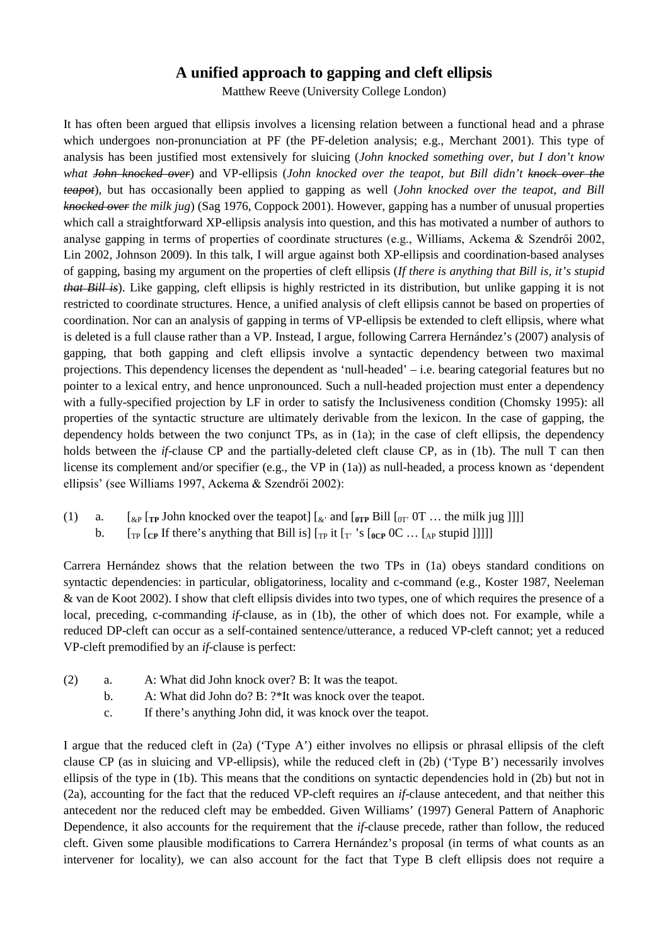## **A unified approach to gapping and cleft ellipsis**

Matthew Reeve (University College London)

It has often been argued that ellipsis involves a licensing relation between a functional head and a phrase which undergoes non-pronunciation at PF (the PF-deletion analysis; e.g., Merchant 2001). This type of analysis has been justified most extensively for sluicing (*John knocked something over, but I don't know what John knocked over*) and VP-ellipsis (*John knocked over the teapot, but Bill didn't knock over the teapot*), but has occasionally been applied to gapping as well (*John knocked over the teapot, and Bill knocked over the milk jug*) (Sag 1976, Coppock 2001). However, gapping has a number of unusual properties which call a straightforward XP-ellipsis analysis into question, and this has motivated a number of authors to analyse gapping in terms of properties of coordinate structures (e.g., Williams, Ackema & Szendrői 2002, Lin 2002, Johnson 2009). In this talk, I will argue against both XP-ellipsis and coordination-based analyses of gapping, basing my argument on the properties of cleft ellipsis (*If there is anything that Bill is, it's stupid that Bill is*). Like gapping, cleft ellipsis is highly restricted in its distribution, but unlike gapping it is not restricted to coordinate structures. Hence, a unified analysis of cleft ellipsis cannot be based on properties of coordination. Nor can an analysis of gapping in terms of VP-ellipsis be extended to cleft ellipsis, where what is deleted is a full clause rather than a VP. Instead, I argue, following Carrera Hernández's (2007) analysis of gapping, that both gapping and cleft ellipsis involve a syntactic dependency between two maximal projections. This dependency licenses the dependent as 'null-headed' – i.e. bearing categorial features but no pointer to a lexical entry, and hence unpronounced. Such a null-headed projection must enter a dependency with a fully-specified projection by LF in order to satisfy the Inclusiveness condition (Chomsky 1995): all properties of the syntactic structure are ultimately derivable from the lexicon. In the case of gapping, the dependency holds between the two conjunct TPs, as in (1a); in the case of cleft ellipsis, the dependency holds between the *if*-clause CP and the partially-deleted cleft clause CP, as in (1b). The null T can then license its complement and/or specifier (e.g., the VP in (1a)) as null-headed, a process known as 'dependent ellipsis' (see Williams 1997, Ackema & Szendrői 2002):

- (1) a.  $\left[\begin{array}{cc} \exp\left[\begin{array}{cc} 1 \end{array} \right] & \text{for both } k$  hocked over the teapot]  $\left[\begin{array}{cc} \& k \end{array} \right] & \text{and } \left[\begin{array}{cc} \text{or } p \end{array} \right] & \text{for all } k \in \mathbb{N} \right]$ 
	- b.  $\left[\begin{matrix}T_{\text{PP}} & \text{[CP$ If there's anything that Bill is} \end{matrix}\right] \left[\begin{matrix}T_{\text{PP}} & \text{if } \begin{matrix}T_{\text{CP}} & \text{[CP$ IUC$ I.}\end{matrix}\right] \left[\begin{matrix}T_{\text{PP}} & \text{if } \begin{matrix}T_{\text{CP}} & \text{[CP$ I.}\end{matrix}\right] \left[\begin{matrix}T_{\text{PP}} & \text{if } \begin{matrix}T_{\text{CP}} & \text{[CP$ I.}\end{matrix}\right] \left[\begin{matrix}T_{\text{PP}} & \text{if } \begin{matrix}T_{\text{CP}} & \$

Carrera Hernández shows that the relation between the two TPs in (1a) obeys standard conditions on syntactic dependencies: in particular, obligatoriness, locality and c-command (e.g., Koster 1987, Neeleman & van de Koot 2002). I show that cleft ellipsis divides into two types, one of which requires the presence of a local, preceding, c-commanding *if*-clause, as in (1b), the other of which does not. For example, while a reduced DP-cleft can occur as a self-contained sentence/utterance, a reduced VP-cleft cannot; yet a reduced VP-cleft premodified by an *if*-clause is perfect:

- (2) a. A: What did John knock over? B: It was the teapot.
	- b. A: What did John do? B: ?\*It was knock over the teapot.
	- c. If there's anything John did, it was knock over the teapot.

I argue that the reduced cleft in (2a) ('Type A') either involves no ellipsis or phrasal ellipsis of the cleft clause CP (as in sluicing and VP-ellipsis), while the reduced cleft in (2b) ('Type B') necessarily involves ellipsis of the type in (1b). This means that the conditions on syntactic dependencies hold in (2b) but not in (2a), accounting for the fact that the reduced VP-cleft requires an *if*-clause antecedent, and that neither this antecedent nor the reduced cleft may be embedded. Given Williams' (1997) General Pattern of Anaphoric Dependence, it also accounts for the requirement that the *if*-clause precede, rather than follow, the reduced cleft. Given some plausible modifications to Carrera Hernández's proposal (in terms of what counts as an intervener for locality), we can also account for the fact that Type B cleft ellipsis does not require a